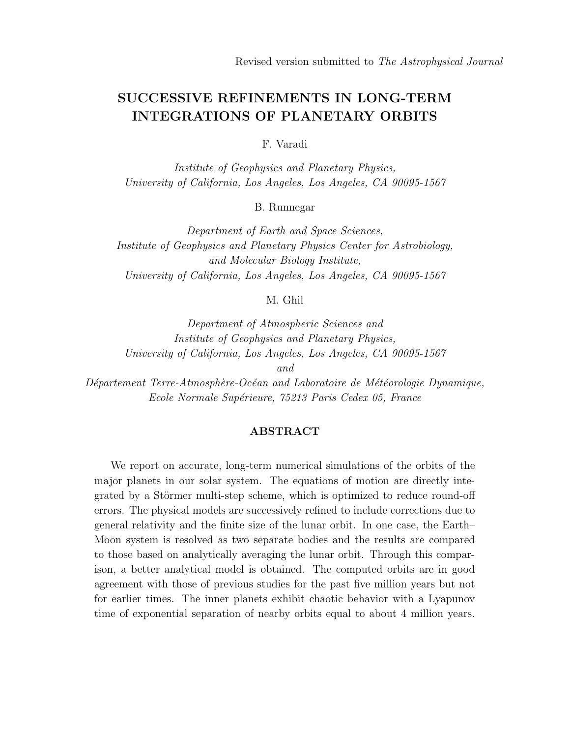# SUCCESSIVE REFINEMENTS IN LONG-TERM INTEGRATIONS OF PLANETARY ORBITS

F. Varadi

Institute of Geophysics and Planetary Physics, University of California, Los Angeles, Los Angeles, CA 90095-1567

B. Runnegar

Department of Earth and Space Sciences, Institute of Geophysics and Planetary Physics Center for Astrobiology, and Molecular Biology Institute, University of California, Los Angeles, Los Angeles, CA 90095-1567

M. Ghil

Department of Atmospheric Sciences and Institute of Geophysics and Planetary Physics, University of California, Los Angeles, Los Angeles, CA 90095-1567

and

 $Département Terre-Atmosphère-Océan and Laboratoire de Météorologie Dynamic,$ Ecole Normale Supérieure, 75213 Paris Cedex 05, France

# ABSTRACT

We report on accurate, long-term numerical simulations of the orbits of the major planets in our solar system. The equations of motion are directly integrated by a Störmer multi-step scheme, which is optimized to reduce round-off errors. The physical models are successively refined to include corrections due to general relativity and the finite size of the lunar orbit. In one case, the Earth– Moon system is resolved as two separate bodies and the results are compared to those based on analytically averaging the lunar orbit. Through this comparison, a better analytical model is obtained. The computed orbits are in good agreement with those of previous studies for the past five million years but not for earlier times. The inner planets exhibit chaotic behavior with a Lyapunov time of exponential separation of nearby orbits equal to about 4 million years.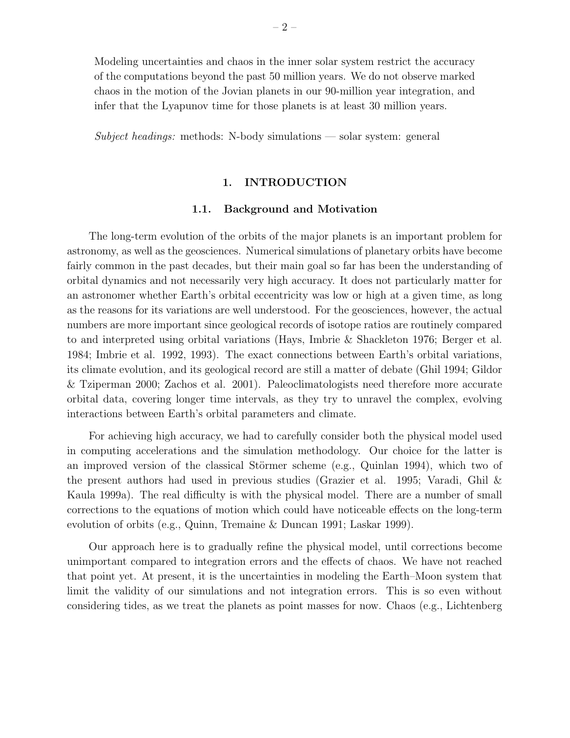Modeling uncertainties and chaos in the inner solar system restrict the accuracy of the computations beyond the past 50 million years. We do not observe marked chaos in the motion of the Jovian planets in our 90-million year integration, and infer that the Lyapunov time for those planets is at least 30 million years.

Subject headings: methods: N-body simulations — solar system: general

## 1. INTRODUCTION

## 1.1. Background and Motivation

The long-term evolution of the orbits of the major planets is an important problem for astronomy, as well as the geosciences. Numerical simulations of planetary orbits have become fairly common in the past decades, but their main goal so far has been the understanding of orbital dynamics and not necessarily very high accuracy. It does not particularly matter for an astronomer whether Earth's orbital eccentricity was low or high at a given time, as long as the reasons for its variations are well understood. For the geosciences, however, the actual numbers are more important since geological records of isotope ratios are routinely compared to and interpreted using orbital variations (Hays, Imbrie & Shackleton 1976; Berger et al. 1984; Imbrie et al. 1992, 1993). The exact connections between Earth's orbital variations, its climate evolution, and its geological record are still a matter of debate (Ghil 1994; Gildor & Tziperman 2000; Zachos et al. 2001). Paleoclimatologists need therefore more accurate orbital data, covering longer time intervals, as they try to unravel the complex, evolving interactions between Earth's orbital parameters and climate.

For achieving high accuracy, we had to carefully consider both the physical model used in computing accelerations and the simulation methodology. Our choice for the latter is an improved version of the classical Störmer scheme (e.g., Quinlan 1994), which two of the present authors had used in previous studies (Grazier et al. 1995; Varadi, Ghil & Kaula 1999a). The real difficulty is with the physical model. There are a number of small corrections to the equations of motion which could have noticeable effects on the long-term evolution of orbits (e.g., Quinn, Tremaine & Duncan 1991; Laskar 1999).

Our approach here is to gradually refine the physical model, until corrections become unimportant compared to integration errors and the effects of chaos. We have not reached that point yet. At present, it is the uncertainties in modeling the Earth–Moon system that limit the validity of our simulations and not integration errors. This is so even without considering tides, as we treat the planets as point masses for now. Chaos (e.g., Lichtenberg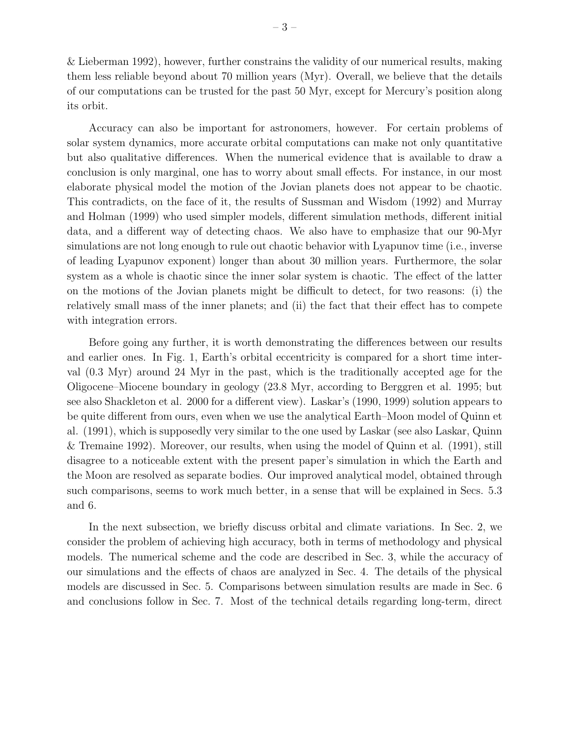& Lieberman 1992), however, further constrains the validity of our numerical results, making them less reliable beyond about 70 million years (Myr). Overall, we believe that the details of our computations can be trusted for the past 50 Myr, except for Mercury's position along its orbit.

Accuracy can also be important for astronomers, however. For certain problems of solar system dynamics, more accurate orbital computations can make not only quantitative but also qualitative differences. When the numerical evidence that is available to draw a conclusion is only marginal, one has to worry about small effects. For instance, in our most elaborate physical model the motion of the Jovian planets does not appear to be chaotic. This contradicts, on the face of it, the results of Sussman and Wisdom (1992) and Murray and Holman (1999) who used simpler models, different simulation methods, different initial data, and a different way of detecting chaos. We also have to emphasize that our 90-Myr simulations are not long enough to rule out chaotic behavior with Lyapunov time (i.e., inverse of leading Lyapunov exponent) longer than about 30 million years. Furthermore, the solar system as a whole is chaotic since the inner solar system is chaotic. The effect of the latter on the motions of the Jovian planets might be difficult to detect, for two reasons: (i) the relatively small mass of the inner planets; and (ii) the fact that their effect has to compete with integration errors.

Before going any further, it is worth demonstrating the differences between our results and earlier ones. In Fig. 1, Earth's orbital eccentricity is compared for a short time interval (0.3 Myr) around 24 Myr in the past, which is the traditionally accepted age for the Oligocene–Miocene boundary in geology (23.8 Myr, according to Berggren et al. 1995; but see also Shackleton et al. 2000 for a different view). Laskar's (1990, 1999) solution appears to be quite different from ours, even when we use the analytical Earth–Moon model of Quinn et al. (1991), which is supposedly very similar to the one used by Laskar (see also Laskar, Quinn & Tremaine 1992). Moreover, our results, when using the model of Quinn et al. (1991), still disagree to a noticeable extent with the present paper's simulation in which the Earth and the Moon are resolved as separate bodies. Our improved analytical model, obtained through such comparisons, seems to work much better, in a sense that will be explained in Secs. 5.3 and 6.

In the next subsection, we briefly discuss orbital and climate variations. In Sec. 2, we consider the problem of achieving high accuracy, both in terms of methodology and physical models. The numerical scheme and the code are described in Sec. 3, while the accuracy of our simulations and the effects of chaos are analyzed in Sec. 4. The details of the physical models are discussed in Sec. 5. Comparisons between simulation results are made in Sec. 6 and conclusions follow in Sec. 7. Most of the technical details regarding long-term, direct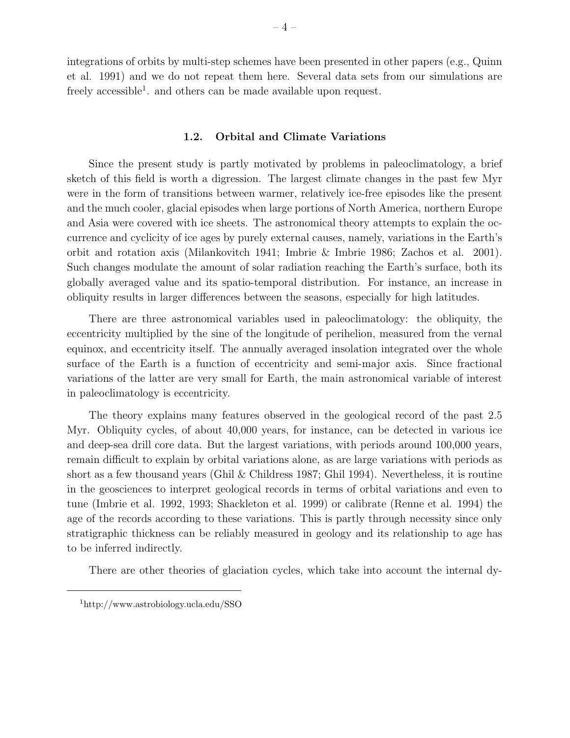integrations of orbits by multi-step schemes have been presented in other papers (e.g., Quinn et al. 1991) and we do not repeat them here. Several data sets from our simulations are freely accessible<sup>1</sup>. and others can be made available upon request.

#### 1.2. Orbital and Climate Variations

Since the present study is partly motivated by problems in paleoclimatology, a brief sketch of this field is worth a digression. The largest climate changes in the past few Myr were in the form of transitions between warmer, relatively ice-free episodes like the present and the much cooler, glacial episodes when large portions of North America, northern Europe and Asia were covered with ice sheets. The astronomical theory attempts to explain the occurrence and cyclicity of ice ages by purely external causes, namely, variations in the Earth's orbit and rotation axis (Milankovitch 1941; Imbrie & Imbrie 1986; Zachos et al. 2001). Such changes modulate the amount of solar radiation reaching the Earth's surface, both its globally averaged value and its spatio-temporal distribution. For instance, an increase in obliquity results in larger differences between the seasons, especially for high latitudes.

There are three astronomical variables used in paleoclimatology: the obliquity, the eccentricity multiplied by the sine of the longitude of perihelion, measured from the vernal equinox, and eccentricity itself. The annually averaged insolation integrated over the whole surface of the Earth is a function of eccentricity and semi-major axis. Since fractional variations of the latter are very small for Earth, the main astronomical variable of interest in paleoclimatology is eccentricity.

The theory explains many features observed in the geological record of the past 2.5 Myr. Obliquity cycles, of about 40,000 years, for instance, can be detected in various ice and deep-sea drill core data. But the largest variations, with periods around 100,000 years, remain difficult to explain by orbital variations alone, as are large variations with periods as short as a few thousand years (Ghil & Childress 1987; Ghil 1994). Nevertheless, it is routine in the geosciences to interpret geological records in terms of orbital variations and even to tune (Imbrie et al. 1992, 1993; Shackleton et al. 1999) or calibrate (Renne et al. 1994) the age of the records according to these variations. This is partly through necessity since only stratigraphic thickness can be reliably measured in geology and its relationship to age has to be inferred indirectly.

There are other theories of glaciation cycles, which take into account the internal dy-

<sup>1</sup>http://www.astrobiology.ucla.edu/SSO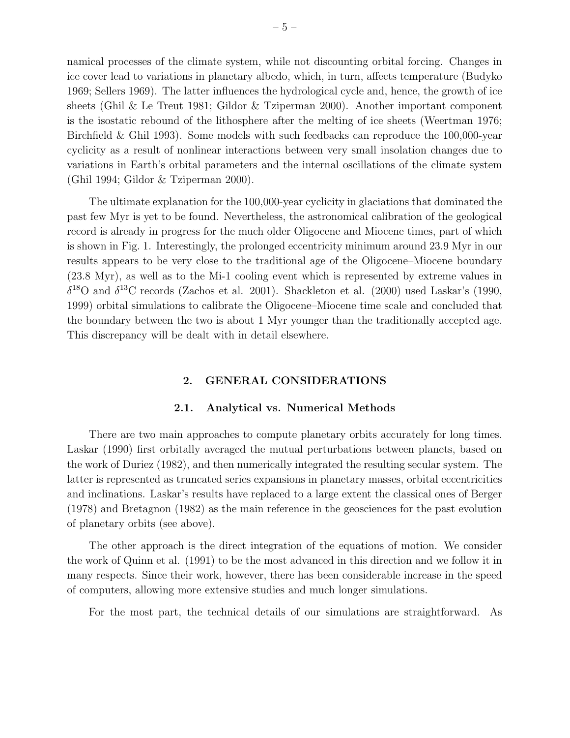namical processes of the climate system, while not discounting orbital forcing. Changes in ice cover lead to variations in planetary albedo, which, in turn, affects temperature (Budyko 1969; Sellers 1969). The latter influences the hydrological cycle and, hence, the growth of ice sheets (Ghil & Le Treut 1981; Gildor & Tziperman 2000). Another important component is the isostatic rebound of the lithosphere after the melting of ice sheets (Weertman 1976; Birchfield & Ghil 1993). Some models with such feedbacks can reproduce the 100,000-year cyclicity as a result of nonlinear interactions between very small insolation changes due to variations in Earth's orbital parameters and the internal oscillations of the climate system (Ghil 1994; Gildor & Tziperman 2000).

The ultimate explanation for the 100,000-year cyclicity in glaciations that dominated the past few Myr is yet to be found. Nevertheless, the astronomical calibration of the geological record is already in progress for the much older Oligocene and Miocene times, part of which is shown in Fig. 1. Interestingly, the prolonged eccentricity minimum around 23.9 Myr in our results appears to be very close to the traditional age of the Oligocene–Miocene boundary (23.8 Myr), as well as to the Mi-1 cooling event which is represented by extreme values in  $\delta^{18}$ O and  $\delta^{13}$ C records (Zachos et al. 2001). Shackleton et al. (2000) used Laskar's (1990, 1999) orbital simulations to calibrate the Oligocene–Miocene time scale and concluded that the boundary between the two is about 1 Myr younger than the traditionally accepted age. This discrepancy will be dealt with in detail elsewhere.

# 2. GENERAL CONSIDERATIONS

#### 2.1. Analytical vs. Numerical Methods

There are two main approaches to compute planetary orbits accurately for long times. Laskar (1990) first orbitally averaged the mutual perturbations between planets, based on the work of Duriez (1982), and then numerically integrated the resulting secular system. The latter is represented as truncated series expansions in planetary masses, orbital eccentricities and inclinations. Laskar's results have replaced to a large extent the classical ones of Berger (1978) and Bretagnon (1982) as the main reference in the geosciences for the past evolution of planetary orbits (see above).

The other approach is the direct integration of the equations of motion. We consider the work of Quinn et al. (1991) to be the most advanced in this direction and we follow it in many respects. Since their work, however, there has been considerable increase in the speed of computers, allowing more extensive studies and much longer simulations.

For the most part, the technical details of our simulations are straightforward. As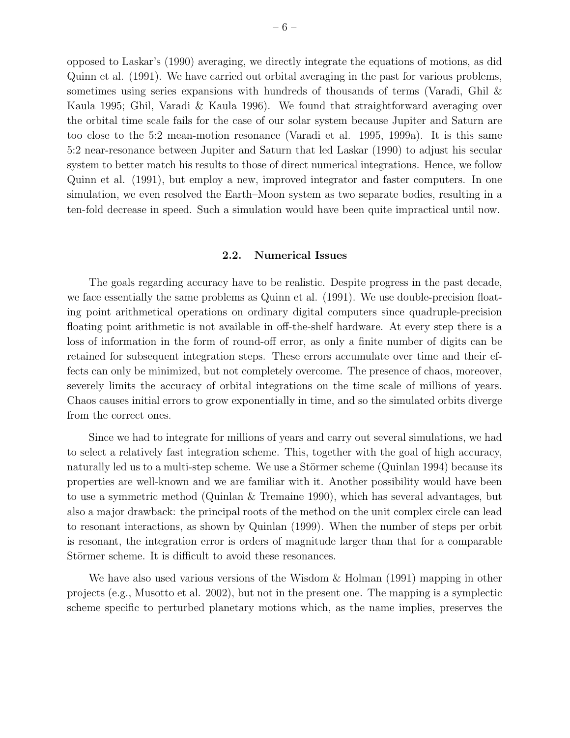opposed to Laskar's (1990) averaging, we directly integrate the equations of motions, as did Quinn et al. (1991). We have carried out orbital averaging in the past for various problems, sometimes using series expansions with hundreds of thousands of terms (Varadi, Ghil & Kaula 1995; Ghil, Varadi & Kaula 1996). We found that straightforward averaging over the orbital time scale fails for the case of our solar system because Jupiter and Saturn are too close to the 5:2 mean-motion resonance (Varadi et al. 1995, 1999a). It is this same 5:2 near-resonance between Jupiter and Saturn that led Laskar (1990) to adjust his secular system to better match his results to those of direct numerical integrations. Hence, we follow Quinn et al. (1991), but employ a new, improved integrator and faster computers. In one simulation, we even resolved the Earth–Moon system as two separate bodies, resulting in a ten-fold decrease in speed. Such a simulation would have been quite impractical until now.

#### 2.2. Numerical Issues

The goals regarding accuracy have to be realistic. Despite progress in the past decade, we face essentially the same problems as Quinn et al. (1991). We use double-precision floating point arithmetical operations on ordinary digital computers since quadruple-precision floating point arithmetic is not available in off-the-shelf hardware. At every step there is a loss of information in the form of round-off error, as only a finite number of digits can be retained for subsequent integration steps. These errors accumulate over time and their effects can only be minimized, but not completely overcome. The presence of chaos, moreover, severely limits the accuracy of orbital integrations on the time scale of millions of years. Chaos causes initial errors to grow exponentially in time, and so the simulated orbits diverge from the correct ones.

Since we had to integrate for millions of years and carry out several simulations, we had to select a relatively fast integration scheme. This, together with the goal of high accuracy, naturally led us to a multi-step scheme. We use a Störmer scheme (Quinlan 1994) because its properties are well-known and we are familiar with it. Another possibility would have been to use a symmetric method (Quinlan & Tremaine 1990), which has several advantages, but also a major drawback: the principal roots of the method on the unit complex circle can lead to resonant interactions, as shown by Quinlan (1999). When the number of steps per orbit is resonant, the integration error is orders of magnitude larger than that for a comparable Störmer scheme. It is difficult to avoid these resonances.

We have also used various versions of the Wisdom  $\&$  Holman (1991) mapping in other projects (e.g., Musotto et al. 2002), but not in the present one. The mapping is a symplectic scheme specific to perturbed planetary motions which, as the name implies, preserves the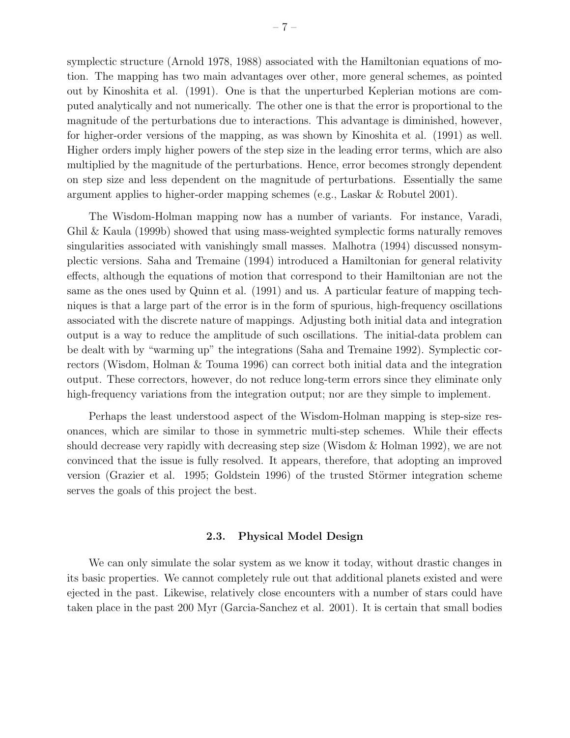symplectic structure (Arnold 1978, 1988) associated with the Hamiltonian equations of motion. The mapping has two main advantages over other, more general schemes, as pointed out by Kinoshita et al. (1991). One is that the unperturbed Keplerian motions are computed analytically and not numerically. The other one is that the error is proportional to the magnitude of the perturbations due to interactions. This advantage is diminished, however, for higher-order versions of the mapping, as was shown by Kinoshita et al. (1991) as well. Higher orders imply higher powers of the step size in the leading error terms, which are also multiplied by the magnitude of the perturbations. Hence, error becomes strongly dependent on step size and less dependent on the magnitude of perturbations. Essentially the same argument applies to higher-order mapping schemes (e.g., Laskar & Robutel 2001).

The Wisdom-Holman mapping now has a number of variants. For instance, Varadi, Ghil & Kaula (1999b) showed that using mass-weighted symplectic forms naturally removes singularities associated with vanishingly small masses. Malhotra (1994) discussed nonsymplectic versions. Saha and Tremaine (1994) introduced a Hamiltonian for general relativity effects, although the equations of motion that correspond to their Hamiltonian are not the same as the ones used by Quinn et al. (1991) and us. A particular feature of mapping techniques is that a large part of the error is in the form of spurious, high-frequency oscillations associated with the discrete nature of mappings. Adjusting both initial data and integration output is a way to reduce the amplitude of such oscillations. The initial-data problem can be dealt with by "warming up" the integrations (Saha and Tremaine 1992). Symplectic correctors (Wisdom, Holman & Touma 1996) can correct both initial data and the integration output. These correctors, however, do not reduce long-term errors since they eliminate only high-frequency variations from the integration output; nor are they simple to implement.

Perhaps the least understood aspect of the Wisdom-Holman mapping is step-size resonances, which are similar to those in symmetric multi-step schemes. While their effects should decrease very rapidly with decreasing step size (Wisdom & Holman 1992), we are not convinced that the issue is fully resolved. It appears, therefore, that adopting an improved version (Grazier et al. 1995; Goldstein 1996) of the trusted Störmer integration scheme serves the goals of this project the best.

#### 2.3. Physical Model Design

We can only simulate the solar system as we know it today, without drastic changes in its basic properties. We cannot completely rule out that additional planets existed and were ejected in the past. Likewise, relatively close encounters with a number of stars could have taken place in the past 200 Myr (Garcia-Sanchez et al. 2001). It is certain that small bodies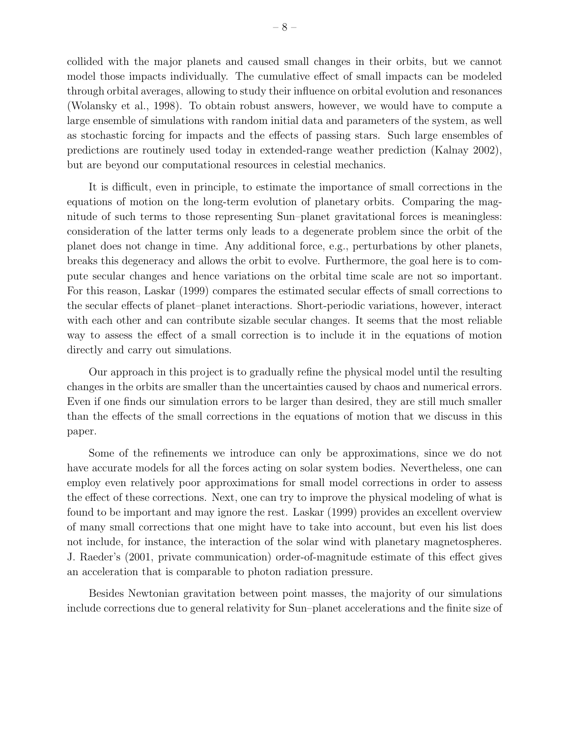collided with the major planets and caused small changes in their orbits, but we cannot model those impacts individually. The cumulative effect of small impacts can be modeled through orbital averages, allowing to study their influence on orbital evolution and resonances (Wolansky et al., 1998). To obtain robust answers, however, we would have to compute a large ensemble of simulations with random initial data and parameters of the system, as well as stochastic forcing for impacts and the effects of passing stars. Such large ensembles of predictions are routinely used today in extended-range weather prediction (Kalnay 2002), but are beyond our computational resources in celestial mechanics.

It is difficult, even in principle, to estimate the importance of small corrections in the equations of motion on the long-term evolution of planetary orbits. Comparing the magnitude of such terms to those representing Sun–planet gravitational forces is meaningless: consideration of the latter terms only leads to a degenerate problem since the orbit of the planet does not change in time. Any additional force, e.g., perturbations by other planets, breaks this degeneracy and allows the orbit to evolve. Furthermore, the goal here is to compute secular changes and hence variations on the orbital time scale are not so important. For this reason, Laskar (1999) compares the estimated secular effects of small corrections to the secular effects of planet–planet interactions. Short-periodic variations, however, interact with each other and can contribute sizable secular changes. It seems that the most reliable way to assess the effect of a small correction is to include it in the equations of motion directly and carry out simulations.

Our approach in this project is to gradually refine the physical model until the resulting changes in the orbits are smaller than the uncertainties caused by chaos and numerical errors. Even if one finds our simulation errors to be larger than desired, they are still much smaller than the effects of the small corrections in the equations of motion that we discuss in this paper.

Some of the refinements we introduce can only be approximations, since we do not have accurate models for all the forces acting on solar system bodies. Nevertheless, one can employ even relatively poor approximations for small model corrections in order to assess the effect of these corrections. Next, one can try to improve the physical modeling of what is found to be important and may ignore the rest. Laskar (1999) provides an excellent overview of many small corrections that one might have to take into account, but even his list does not include, for instance, the interaction of the solar wind with planetary magnetospheres. J. Raeder's (2001, private communication) order-of-magnitude estimate of this effect gives an acceleration that is comparable to photon radiation pressure.

Besides Newtonian gravitation between point masses, the majority of our simulations include corrections due to general relativity for Sun–planet accelerations and the finite size of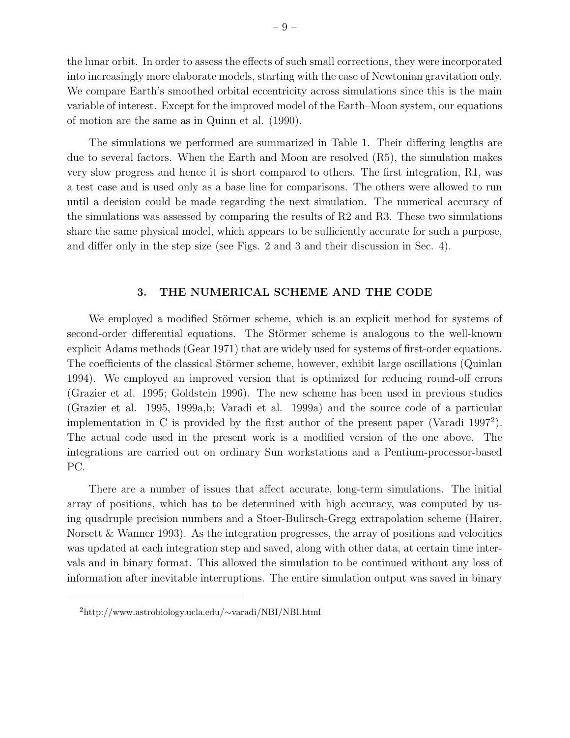the lunar orbit. In order to assess the effects of such small corrections, they were incorporated into increasingly more elaborate models, starting with the case of Newtonian gravitation only. We compare Earth's smoothed orbital eccentricity across simulations since this is the main variable of interest. Except for the improved model of the Earth–Moon system, our equations of motion are the same as in Quinn et al. (1990).

The simulations we performed are summarized in Table 1. Their differing lengths are due to several factors. When the Earth and Moon are resolved (R5), the simulation makes very slow progress and hence it is short compared to others. The first integration, R1, was a test case and is used only as a base line for comparisons. The others were allowed to run until a decision could be made regarding the next simulation. The numerical accuracy of the simulations was assessed by comparing the results of R2 and R3. These two simulations share the same physical model, which appears to be sufficiently accurate for such a purpose, and differ only in the step size (see Figs. 2 and 3 and their discussion in Sec. 4).

# 3. THE NUMERICAL SCHEME AND THE CODE

We employed a modified Störmer scheme, which is an explicit method for systems of second-order differential equations. The Störmer scheme is analogous to the well-known explicit Adams methods (Gear 1971) that are widely used for systems of first-order equations. The coefficients of the classical Störmer scheme, however, exhibit large oscillations (Quinlan 1994). We employed an improved version that is optimized for reducing round-off errors (Grazier et al. 1995; Goldstein 1996). The new scheme has been used in previous studies (Grazier et al. 1995, 1999a,b; Varadi et al. 1999a) and the source code of a particular implementation in C is provided by the first author of the present paper (Varadi 1997<sup>2</sup> ). The actual code used in the present work is a modified version of the one above. The integrations are carried out on ordinary Sun workstations and a Pentium-processor-based PC.

There are a number of issues that affect accurate, long-term simulations. The initial array of positions, which has to be determined with high accuracy, was computed by using quadruple precision numbers and a Stoer-Bulirsch-Gregg extrapolation scheme (Hairer, Norsett & Wanner 1993). As the integration progresses, the array of positions and velocities was updated at each integration step and saved, along with other data, at certain time intervals and in binary format. This allowed the simulation to be continued without any loss of information after inevitable interruptions. The entire simulation output was saved in binary

<sup>2</sup>http://www.astrobiology.ucla.edu/∼varadi/NBI/NBI.html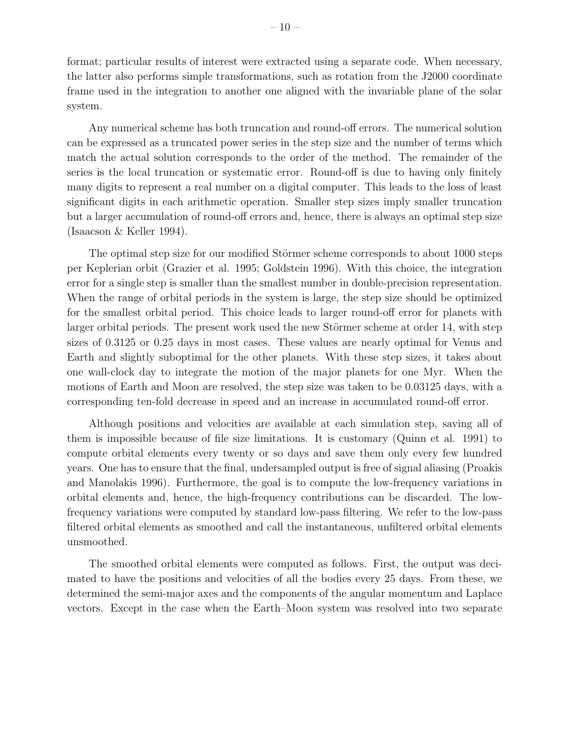format; particular results of interest were extracted using a separate code. When necessary, the latter also performs simple transformations, such as rotation from the J2000 coordinate frame used in the integration to another one aligned with the invariable plane of the solar system.

Any numerical scheme has both truncation and round-off errors. The numerical solution can be expressed as a truncated power series in the step size and the number of terms which match the actual solution corresponds to the order of the method. The remainder of the series is the local truncation or systematic error. Round-off is due to having only finitely many digits to represent a real number on a digital computer. This leads to the loss of least significant digits in each arithmetic operation. Smaller step sizes imply smaller truncation but a larger accumulation of round-off errors and, hence, there is always an optimal step size (Isaacson & Keller 1994).

The optimal step size for our modified Störmer scheme corresponds to about 1000 steps per Keplerian orbit (Grazier et al. 1995; Goldstein 1996). With this choice, the integration error for a single step is smaller than the smallest number in double-precision representation. When the range of orbital periods in the system is large, the step size should be optimized for the smallest orbital period. This choice leads to larger round-off error for planets with larger orbital periods. The present work used the new Störmer scheme at order 14, with step sizes of 0.3125 or 0.25 days in most cases. These values are nearly optimal for Venus and Earth and slightly suboptimal for the other planets. With these step sizes, it takes about one wall-clock day to integrate the motion of the major planets for one Myr. When the motions of Earth and Moon are resolved, the step size was taken to be 0.03125 days, with a corresponding ten-fold decrease in speed and an increase in accumulated round-off error.

Although positions and velocities are available at each simulation step, saving all of them is impossible because of file size limitations. It is customary (Quinn et al. 1991) to compute orbital elements every twenty or so days and save them only every few hundred years. One has to ensure that the final, undersampled output is free of signal aliasing (Proakis and Manolakis 1996). Furthermore, the goal is to compute the low-frequency variations in orbital elements and, hence, the high-frequency contributions can be discarded. The lowfrequency variations were computed by standard low-pass filtering. We refer to the low-pass filtered orbital elements as smoothed and call the instantaneous, unfiltered orbital elements unsmoothed.

The smoothed orbital elements were computed as follows. First, the output was decimated to have the positions and velocities of all the bodies every 25 days. From these, we determined the semi-major axes and the components of the angular momentum and Laplace vectors. Except in the case when the Earth–Moon system was resolved into two separate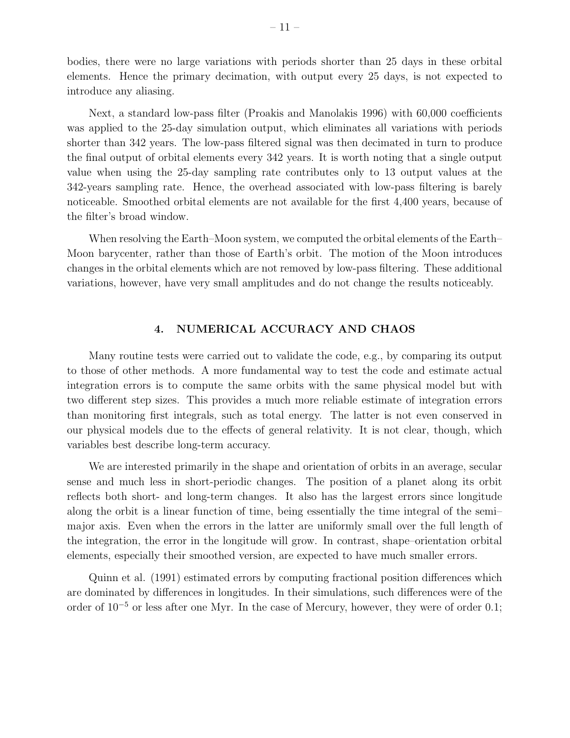bodies, there were no large variations with periods shorter than 25 days in these orbital elements. Hence the primary decimation, with output every 25 days, is not expected to introduce any aliasing.

Next, a standard low-pass filter (Proakis and Manolakis 1996) with 60,000 coefficients was applied to the 25-day simulation output, which eliminates all variations with periods shorter than 342 years. The low-pass filtered signal was then decimated in turn to produce the final output of orbital elements every 342 years. It is worth noting that a single output value when using the 25-day sampling rate contributes only to 13 output values at the 342-years sampling rate. Hence, the overhead associated with low-pass filtering is barely noticeable. Smoothed orbital elements are not available for the first 4,400 years, because of the filter's broad window.

When resolving the Earth–Moon system, we computed the orbital elements of the Earth– Moon barycenter, rather than those of Earth's orbit. The motion of the Moon introduces changes in the orbital elements which are not removed by low-pass filtering. These additional variations, however, have very small amplitudes and do not change the results noticeably.

# 4. NUMERICAL ACCURACY AND CHAOS

Many routine tests were carried out to validate the code, e.g., by comparing its output to those of other methods. A more fundamental way to test the code and estimate actual integration errors is to compute the same orbits with the same physical model but with two different step sizes. This provides a much more reliable estimate of integration errors than monitoring first integrals, such as total energy. The latter is not even conserved in our physical models due to the effects of general relativity. It is not clear, though, which variables best describe long-term accuracy.

We are interested primarily in the shape and orientation of orbits in an average, secular sense and much less in short-periodic changes. The position of a planet along its orbit reflects both short- and long-term changes. It also has the largest errors since longitude along the orbit is a linear function of time, being essentially the time integral of the semi– major axis. Even when the errors in the latter are uniformly small over the full length of the integration, the error in the longitude will grow. In contrast, shape–orientation orbital elements, especially their smoothed version, are expected to have much smaller errors.

Quinn et al. (1991) estimated errors by computing fractional position differences which are dominated by differences in longitudes. In their simulations, such differences were of the order of 10<sup>−</sup><sup>5</sup> or less after one Myr. In the case of Mercury, however, they were of order 0.1;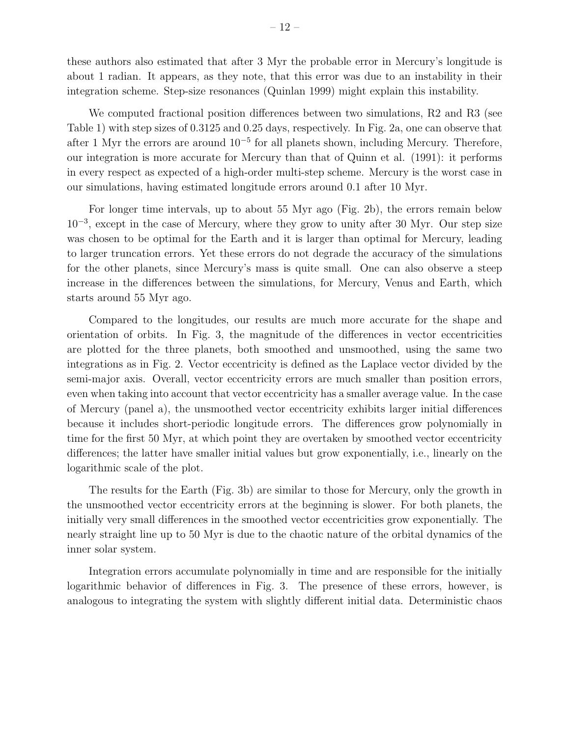these authors also estimated that after 3 Myr the probable error in Mercury's longitude is about 1 radian. It appears, as they note, that this error was due to an instability in their integration scheme. Step-size resonances (Quinlan 1999) might explain this instability.

We computed fractional position differences between two simulations, R2 and R3 (see Table 1) with step sizes of 0.3125 and 0.25 days, respectively. In Fig. 2a, one can observe that after 1 Myr the errors are around  $10^{-5}$  for all planets shown, including Mercury. Therefore, our integration is more accurate for Mercury than that of Quinn et al. (1991): it performs in every respect as expected of a high-order multi-step scheme. Mercury is the worst case in our simulations, having estimated longitude errors around 0.1 after 10 Myr.

For longer time intervals, up to about 55 Myr ago (Fig. 2b), the errors remain below 10<sup>−</sup><sup>3</sup> , except in the case of Mercury, where they grow to unity after 30 Myr. Our step size was chosen to be optimal for the Earth and it is larger than optimal for Mercury, leading to larger truncation errors. Yet these errors do not degrade the accuracy of the simulations for the other planets, since Mercury's mass is quite small. One can also observe a steep increase in the differences between the simulations, for Mercury, Venus and Earth, which starts around 55 Myr ago.

Compared to the longitudes, our results are much more accurate for the shape and orientation of orbits. In Fig. 3, the magnitude of the differences in vector eccentricities are plotted for the three planets, both smoothed and unsmoothed, using the same two integrations as in Fig. 2. Vector eccentricity is defined as the Laplace vector divided by the semi-major axis. Overall, vector eccentricity errors are much smaller than position errors, even when taking into account that vector eccentricity has a smaller average value. In the case of Mercury (panel a), the unsmoothed vector eccentricity exhibits larger initial differences because it includes short-periodic longitude errors. The differences grow polynomially in time for the first 50 Myr, at which point they are overtaken by smoothed vector eccentricity differences; the latter have smaller initial values but grow exponentially, i.e., linearly on the logarithmic scale of the plot.

The results for the Earth (Fig. 3b) are similar to those for Mercury, only the growth in the unsmoothed vector eccentricity errors at the beginning is slower. For both planets, the initially very small differences in the smoothed vector eccentricities grow exponentially. The nearly straight line up to 50 Myr is due to the chaotic nature of the orbital dynamics of the inner solar system.

Integration errors accumulate polynomially in time and are responsible for the initially logarithmic behavior of differences in Fig. 3. The presence of these errors, however, is analogous to integrating the system with slightly different initial data. Deterministic chaos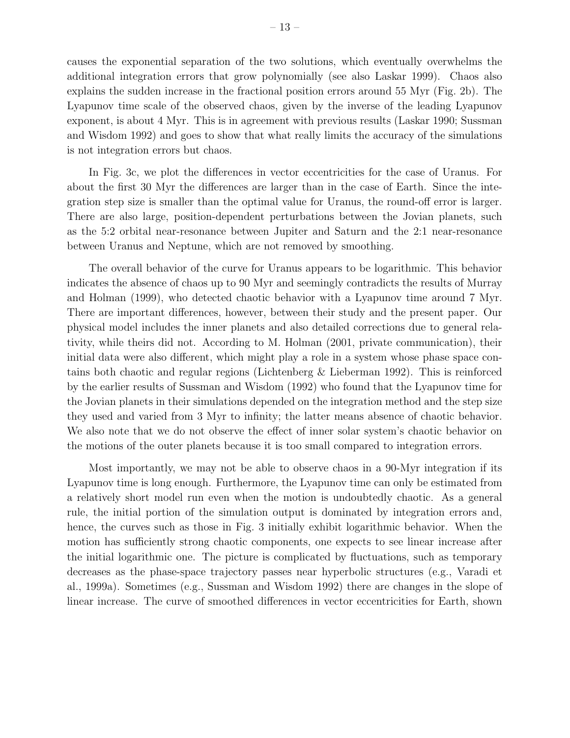causes the exponential separation of the two solutions, which eventually overwhelms the additional integration errors that grow polynomially (see also Laskar 1999). Chaos also explains the sudden increase in the fractional position errors around 55 Myr (Fig. 2b). The Lyapunov time scale of the observed chaos, given by the inverse of the leading Lyapunov exponent, is about 4 Myr. This is in agreement with previous results (Laskar 1990; Sussman and Wisdom 1992) and goes to show that what really limits the accuracy of the simulations is not integration errors but chaos.

In Fig. 3c, we plot the differences in vector eccentricities for the case of Uranus. For about the first 30 Myr the differences are larger than in the case of Earth. Since the integration step size is smaller than the optimal value for Uranus, the round-off error is larger. There are also large, position-dependent perturbations between the Jovian planets, such as the 5:2 orbital near-resonance between Jupiter and Saturn and the 2:1 near-resonance between Uranus and Neptune, which are not removed by smoothing.

The overall behavior of the curve for Uranus appears to be logarithmic. This behavior indicates the absence of chaos up to 90 Myr and seemingly contradicts the results of Murray and Holman (1999), who detected chaotic behavior with a Lyapunov time around 7 Myr. There are important differences, however, between their study and the present paper. Our physical model includes the inner planets and also detailed corrections due to general relativity, while theirs did not. According to M. Holman (2001, private communication), their initial data were also different, which might play a role in a system whose phase space contains both chaotic and regular regions (Lichtenberg & Lieberman 1992). This is reinforced by the earlier results of Sussman and Wisdom (1992) who found that the Lyapunov time for the Jovian planets in their simulations depended on the integration method and the step size they used and varied from 3 Myr to infinity; the latter means absence of chaotic behavior. We also note that we do not observe the effect of inner solar system's chaotic behavior on the motions of the outer planets because it is too small compared to integration errors.

Most importantly, we may not be able to observe chaos in a 90-Myr integration if its Lyapunov time is long enough. Furthermore, the Lyapunov time can only be estimated from a relatively short model run even when the motion is undoubtedly chaotic. As a general rule, the initial portion of the simulation output is dominated by integration errors and, hence, the curves such as those in Fig. 3 initially exhibit logarithmic behavior. When the motion has sufficiently strong chaotic components, one expects to see linear increase after the initial logarithmic one. The picture is complicated by fluctuations, such as temporary decreases as the phase-space trajectory passes near hyperbolic structures (e.g., Varadi et al., 1999a). Sometimes (e.g., Sussman and Wisdom 1992) there are changes in the slope of linear increase. The curve of smoothed differences in vector eccentricities for Earth, shown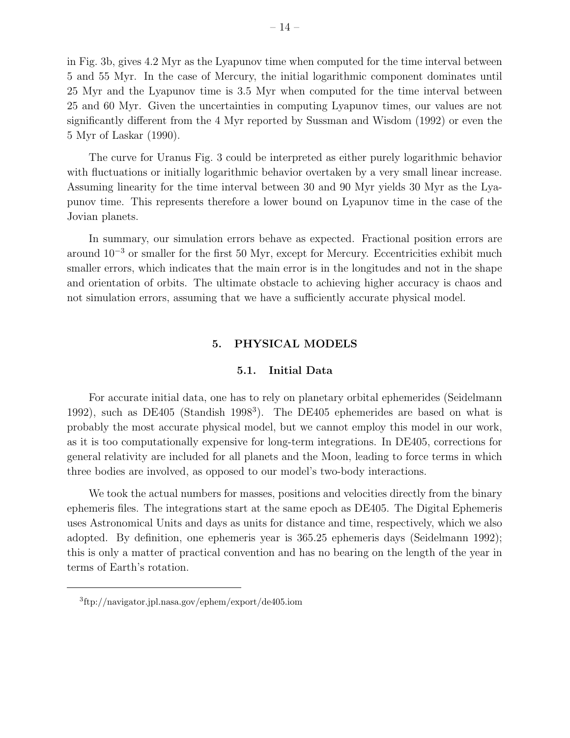in Fig. 3b, gives 4.2 Myr as the Lyapunov time when computed for the time interval between and 55 Myr. In the case of Mercury, the initial logarithmic component dominates until Myr and the Lyapunov time is 3.5 Myr when computed for the time interval between and 60 Myr. Given the uncertainties in computing Lyapunov times, our values are not significantly different from the 4 Myr reported by Sussman and Wisdom (1992) or even the Myr of Laskar (1990).

The curve for Uranus Fig. 3 could be interpreted as either purely logarithmic behavior with fluctuations or initially logarithmic behavior overtaken by a very small linear increase. Assuming linearity for the time interval between 30 and 90 Myr yields 30 Myr as the Lyapunov time. This represents therefore a lower bound on Lyapunov time in the case of the Jovian planets.

In summary, our simulation errors behave as expected. Fractional position errors are around 10<sup>−</sup><sup>3</sup> or smaller for the first 50 Myr, except for Mercury. Eccentricities exhibit much smaller errors, which indicates that the main error is in the longitudes and not in the shape and orientation of orbits. The ultimate obstacle to achieving higher accuracy is chaos and not simulation errors, assuming that we have a sufficiently accurate physical model.

# 5. PHYSICAL MODELS

## 5.1. Initial Data

For accurate initial data, one has to rely on planetary orbital ephemerides (Seidelmann 1992), such as DE405 (Standish 1998<sup>3</sup>). The DE405 ephemerides are based on what is probably the most accurate physical model, but we cannot employ this model in our work, as it is too computationally expensive for long-term integrations. In DE405, corrections for general relativity are included for all planets and the Moon, leading to force terms in which three bodies are involved, as opposed to our model's two-body interactions.

We took the actual numbers for masses, positions and velocities directly from the binary ephemeris files. The integrations start at the same epoch as DE405. The Digital Ephemeris uses Astronomical Units and days as units for distance and time, respectively, which we also adopted. By definition, one ephemeris year is 365.25 ephemeris days (Seidelmann 1992); this is only a matter of practical convention and has no bearing on the length of the year in terms of Earth's rotation.

<sup>3</sup> ftp://navigator.jpl.nasa.gov/ephem/export/de405.iom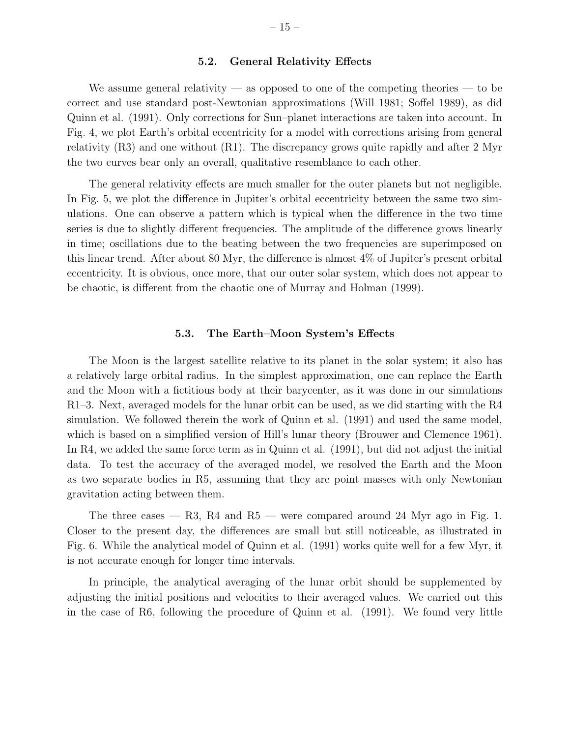## 5.2. General Relativity Effects

We assume general relativity — as opposed to one of the competing theories — to be correct and use standard post-Newtonian approximations (Will 1981; Soffel 1989), as did Quinn et al. (1991). Only corrections for Sun–planet interactions are taken into account. In Fig. 4, we plot Earth's orbital eccentricity for a model with corrections arising from general relativity (R3) and one without (R1). The discrepancy grows quite rapidly and after 2 Myr the two curves bear only an overall, qualitative resemblance to each other.

The general relativity effects are much smaller for the outer planets but not negligible. In Fig. 5, we plot the difference in Jupiter's orbital eccentricity between the same two simulations. One can observe a pattern which is typical when the difference in the two time series is due to slightly different frequencies. The amplitude of the difference grows linearly in time; oscillations due to the beating between the two frequencies are superimposed on this linear trend. After about 80 Myr, the difference is almost 4% of Jupiter's present orbital eccentricity. It is obvious, once more, that our outer solar system, which does not appear to be chaotic, is different from the chaotic one of Murray and Holman (1999).

## 5.3. The Earth–Moon System's Effects

The Moon is the largest satellite relative to its planet in the solar system; it also has a relatively large orbital radius. In the simplest approximation, one can replace the Earth and the Moon with a fictitious body at their barycenter, as it was done in our simulations R1–3. Next, averaged models for the lunar orbit can be used, as we did starting with the R4 simulation. We followed therein the work of Quinn et al. (1991) and used the same model, which is based on a simplified version of Hill's lunar theory (Brouwer and Clemence 1961). In R4, we added the same force term as in Quinn et al. (1991), but did not adjust the initial data. To test the accuracy of the averaged model, we resolved the Earth and the Moon as two separate bodies in R5, assuming that they are point masses with only Newtonian gravitation acting between them.

The three cases  $-$  R3, R4 and R5  $-$  were compared around 24 Myr ago in Fig. 1. Closer to the present day, the differences are small but still noticeable, as illustrated in Fig. 6. While the analytical model of Quinn et al. (1991) works quite well for a few Myr, it is not accurate enough for longer time intervals.

In principle, the analytical averaging of the lunar orbit should be supplemented by adjusting the initial positions and velocities to their averaged values. We carried out this in the case of R6, following the procedure of Quinn et al. (1991). We found very little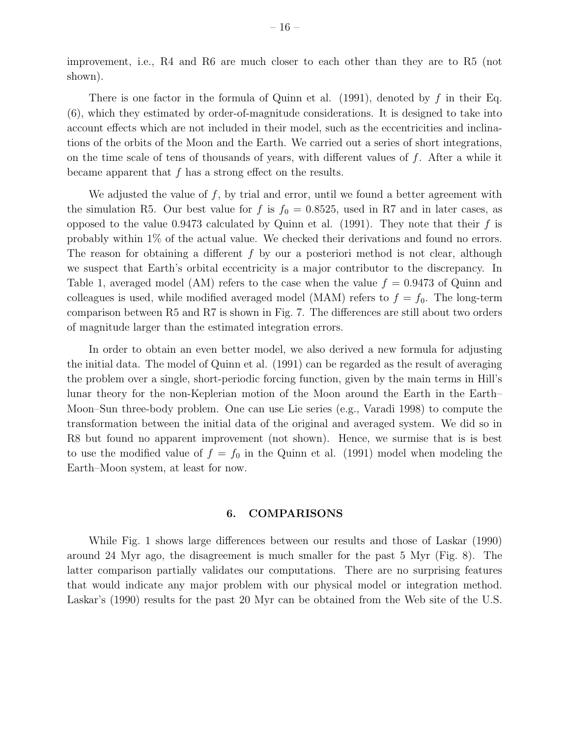improvement, i.e., R4 and R6 are much closer to each other than they are to R5 (not shown).

There is one factor in the formula of Quinn et al.  $(1991)$ , denoted by f in their Eq. (6), which they estimated by order-of-magnitude considerations. It is designed to take into account effects which are not included in their model, such as the eccentricities and inclinations of the orbits of the Moon and the Earth. We carried out a series of short integrations, on the time scale of tens of thousands of years, with different values of f. After a while it became apparent that  $f$  has a strong effect on the results.

We adjusted the value of  $f$ , by trial and error, until we found a better agreement with the simulation R5. Our best value for f is  $f_0 = 0.8525$ , used in R7 and in later cases, as opposed to the value 0.9473 calculated by Quinn et al. (1991). They note that their  $f$  is probably within 1% of the actual value. We checked their derivations and found no errors. The reason for obtaining a different  $f$  by our a posteriori method is not clear, although we suspect that Earth's orbital eccentricity is a major contributor to the discrepancy. In Table 1, averaged model (AM) refers to the case when the value  $f = 0.9473$  of Quinn and colleagues is used, while modified averaged model (MAM) refers to  $f = f_0$ . The long-term comparison between R5 and R7 is shown in Fig. 7. The differences are still about two orders of magnitude larger than the estimated integration errors.

In order to obtain an even better model, we also derived a new formula for adjusting the initial data. The model of Quinn et al. (1991) can be regarded as the result of averaging the problem over a single, short-periodic forcing function, given by the main terms in Hill's lunar theory for the non-Keplerian motion of the Moon around the Earth in the Earth– Moon–Sun three-body problem. One can use Lie series (e.g., Varadi 1998) to compute the transformation between the initial data of the original and averaged system. We did so in R8 but found no apparent improvement (not shown). Hence, we surmise that is is best to use the modified value of  $f = f_0$  in the Quinn et al. (1991) model when modeling the Earth–Moon system, at least for now.

# 6. COMPARISONS

While Fig. 1 shows large differences between our results and those of Laskar (1990) around 24 Myr ago, the disagreement is much smaller for the past 5 Myr (Fig. 8). The latter comparison partially validates our computations. There are no surprising features that would indicate any major problem with our physical model or integration method. Laskar's (1990) results for the past 20 Myr can be obtained from the Web site of the U.S.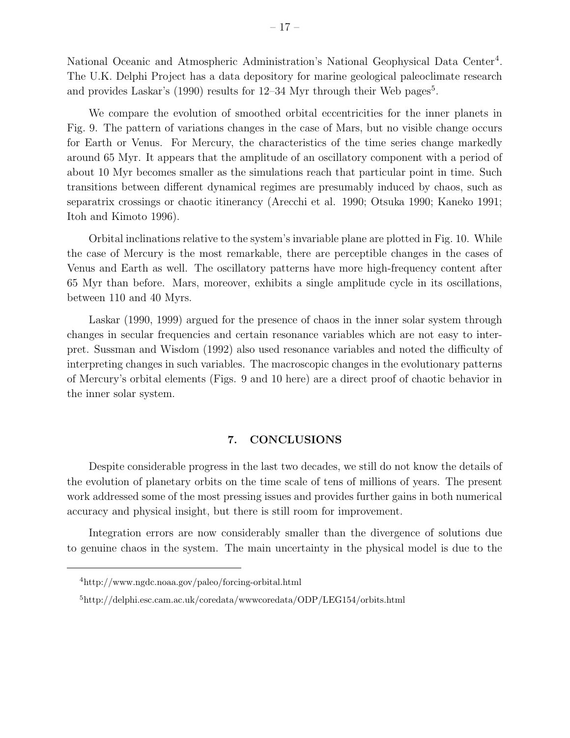National Oceanic and Atmospheric Administration's National Geophysical Data Center<sup>4</sup>. The U.K. Delphi Project has a data depository for marine geological paleoclimate research and provides Laskar's (1990) results for  $12-34$  Myr through their Web pages<sup>5</sup>.

We compare the evolution of smoothed orbital eccentricities for the inner planets in Fig. 9. The pattern of variations changes in the case of Mars, but no visible change occurs for Earth or Venus. For Mercury, the characteristics of the time series change markedly around 65 Myr. It appears that the amplitude of an oscillatory component with a period of about 10 Myr becomes smaller as the simulations reach that particular point in time. Such transitions between different dynamical regimes are presumably induced by chaos, such as separatrix crossings or chaotic itinerancy (Arecchi et al. 1990; Otsuka 1990; Kaneko 1991; Itoh and Kimoto 1996).

Orbital inclinations relative to the system's invariable plane are plotted in Fig. 10. While the case of Mercury is the most remarkable, there are perceptible changes in the cases of Venus and Earth as well. The oscillatory patterns have more high-frequency content after 65 Myr than before. Mars, moreover, exhibits a single amplitude cycle in its oscillations, between 110 and 40 Myrs.

Laskar (1990, 1999) argued for the presence of chaos in the inner solar system through changes in secular frequencies and certain resonance variables which are not easy to interpret. Sussman and Wisdom (1992) also used resonance variables and noted the difficulty of interpreting changes in such variables. The macroscopic changes in the evolutionary patterns of Mercury's orbital elements (Figs. 9 and 10 here) are a direct proof of chaotic behavior in the inner solar system.

# 7. CONCLUSIONS

Despite considerable progress in the last two decades, we still do not know the details of the evolution of planetary orbits on the time scale of tens of millions of years. The present work addressed some of the most pressing issues and provides further gains in both numerical accuracy and physical insight, but there is still room for improvement.

Integration errors are now considerably smaller than the divergence of solutions due to genuine chaos in the system. The main uncertainty in the physical model is due to the

<sup>4</sup>http://www.ngdc.noaa.gov/paleo/forcing-orbital.html

<sup>5</sup>http://delphi.esc.cam.ac.uk/coredata/wwwcoredata/ODP/LEG154/orbits.html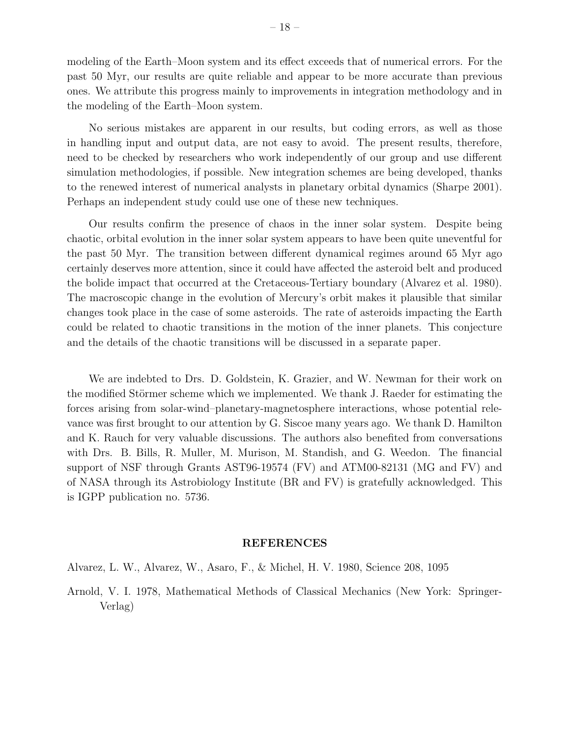modeling of the Earth–Moon system and its effect exceeds that of numerical errors. For the past 50 Myr, our results are quite reliable and appear to be more accurate than previous ones. We attribute this progress mainly to improvements in integration methodology and in the modeling of the Earth–Moon system.

No serious mistakes are apparent in our results, but coding errors, as well as those in handling input and output data, are not easy to avoid. The present results, therefore, need to be checked by researchers who work independently of our group and use different simulation methodologies, if possible. New integration schemes are being developed, thanks to the renewed interest of numerical analysts in planetary orbital dynamics (Sharpe 2001). Perhaps an independent study could use one of these new techniques.

Our results confirm the presence of chaos in the inner solar system. Despite being chaotic, orbital evolution in the inner solar system appears to have been quite uneventful for the past 50 Myr. The transition between different dynamical regimes around 65 Myr ago certainly deserves more attention, since it could have affected the asteroid belt and produced the bolide impact that occurred at the Cretaceous-Tertiary boundary (Alvarez et al. 1980). The macroscopic change in the evolution of Mercury's orbit makes it plausible that similar changes took place in the case of some asteroids. The rate of asteroids impacting the Earth could be related to chaotic transitions in the motion of the inner planets. This conjecture and the details of the chaotic transitions will be discussed in a separate paper.

We are indebted to Drs. D. Goldstein, K. Grazier, and W. Newman for their work on the modified Störmer scheme which we implemented. We thank J. Raeder for estimating the forces arising from solar-wind–planetary-magnetosphere interactions, whose potential relevance was first brought to our attention by G. Siscoe many years ago. We thank D. Hamilton and K. Rauch for very valuable discussions. The authors also benefited from conversations with Drs. B. Bills, R. Muller, M. Murison, M. Standish, and G. Weedon. The financial support of NSF through Grants AST96-19574 (FV) and ATM00-82131 (MG and FV) and of NASA through its Astrobiology Institute (BR and FV) is gratefully acknowledged. This is IGPP publication no. 5736.

## REFERENCES

Alvarez, L. W., Alvarez, W., Asaro, F., & Michel, H. V. 1980, Science 208, 1095

Arnold, V. I. 1978, Mathematical Methods of Classical Mechanics (New York: Springer-Verlag)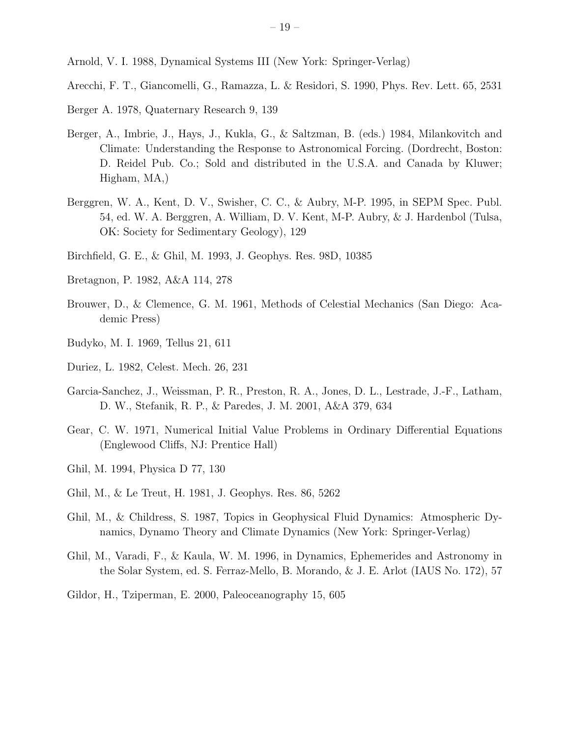Arnold, V. I. 1988, Dynamical Systems III (New York: Springer-Verlag)

- Arecchi, F. T., Giancomelli, G., Ramazza, L. & Residori, S. 1990, Phys. Rev. Lett. 65, 2531
- Berger A. 1978, Quaternary Research 9, 139
- Berger, A., Imbrie, J., Hays, J., Kukla, G., & Saltzman, B. (eds.) 1984, Milankovitch and Climate: Understanding the Response to Astronomical Forcing. (Dordrecht, Boston: D. Reidel Pub. Co.; Sold and distributed in the U.S.A. and Canada by Kluwer; Higham, MA,)
- Berggren, W. A., Kent, D. V., Swisher, C. C., & Aubry, M-P. 1995, in SEPM Spec. Publ. 54, ed. W. A. Berggren, A. William, D. V. Kent, M-P. Aubry, & J. Hardenbol (Tulsa, OK: Society for Sedimentary Geology), 129
- Birchfield, G. E., & Ghil, M. 1993, J. Geophys. Res. 98D, 10385
- Bretagnon, P. 1982, A&A 114, 278
- Brouwer, D., & Clemence, G. M. 1961, Methods of Celestial Mechanics (San Diego: Academic Press)
- Budyko, M. I. 1969, Tellus 21, 611
- Duriez, L. 1982, Celest. Mech. 26, 231
- Garcia-Sanchez, J., Weissman, P. R., Preston, R. A., Jones, D. L., Lestrade, J.-F., Latham, D. W., Stefanik, R. P., & Paredes, J. M. 2001, A&A 379, 634
- Gear, C. W. 1971, Numerical Initial Value Problems in Ordinary Differential Equations (Englewood Cliffs, NJ: Prentice Hall)
- Ghil, M. 1994, Physica D 77, 130
- Ghil, M., & Le Treut, H. 1981, J. Geophys. Res. 86, 5262
- Ghil, M., & Childress, S. 1987, Topics in Geophysical Fluid Dynamics: Atmospheric Dynamics, Dynamo Theory and Climate Dynamics (New York: Springer-Verlag)
- Ghil, M., Varadi, F., & Kaula, W. M. 1996, in Dynamics, Ephemerides and Astronomy in the Solar System, ed. S. Ferraz-Mello, B. Morando, & J. E. Arlot (IAUS No. 172), 57
- Gildor, H., Tziperman, E. 2000, Paleoceanography 15, 605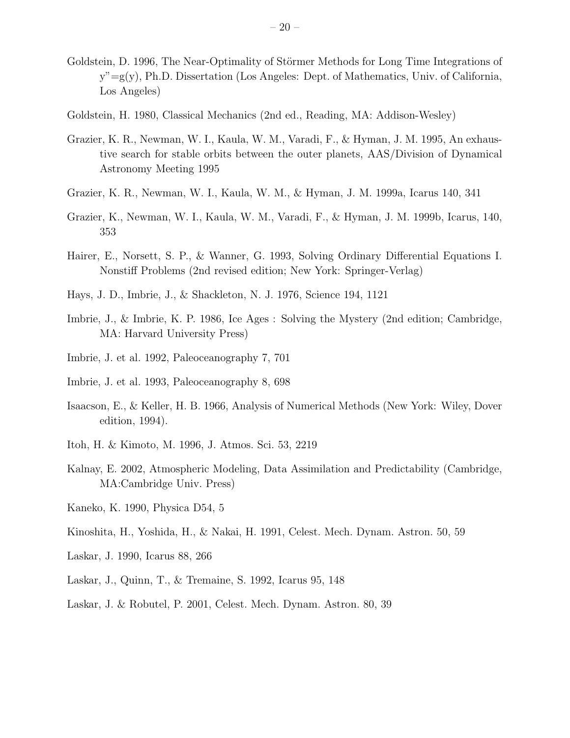- Goldstein, D. 1996, The Near-Optimality of Störmer Methods for Long Time Integrations of y"=g(y), Ph.D. Dissertation (Los Angeles: Dept. of Mathematics, Univ. of California, Los Angeles)
- Goldstein, H. 1980, Classical Mechanics (2nd ed., Reading, MA: Addison-Wesley)
- Grazier, K. R., Newman, W. I., Kaula, W. M., Varadi, F., & Hyman, J. M. 1995, An exhaustive search for stable orbits between the outer planets, AAS/Division of Dynamical Astronomy Meeting 1995
- Grazier, K. R., Newman, W. I., Kaula, W. M., & Hyman, J. M. 1999a, Icarus 140, 341
- Grazier, K., Newman, W. I., Kaula, W. M., Varadi, F., & Hyman, J. M. 1999b, Icarus, 140, 353
- Hairer, E., Norsett, S. P., & Wanner, G. 1993, Solving Ordinary Differential Equations I. Nonstiff Problems (2nd revised edition; New York: Springer-Verlag)
- Hays, J. D., Imbrie, J., & Shackleton, N. J. 1976, Science 194, 1121
- Imbrie, J., & Imbrie, K. P. 1986, Ice Ages : Solving the Mystery (2nd edition; Cambridge, MA: Harvard University Press)
- Imbrie, J. et al. 1992, Paleoceanography 7, 701
- Imbrie, J. et al. 1993, Paleoceanography 8, 698
- Isaacson, E., & Keller, H. B. 1966, Analysis of Numerical Methods (New York: Wiley, Dover edition, 1994).
- Itoh, H. & Kimoto, M. 1996, J. Atmos. Sci. 53, 2219
- Kalnay, E. 2002, Atmospheric Modeling, Data Assimilation and Predictability (Cambridge, MA:Cambridge Univ. Press)
- Kaneko, K. 1990, Physica D54, 5
- Kinoshita, H., Yoshida, H., & Nakai, H. 1991, Celest. Mech. Dynam. Astron. 50, 59
- Laskar, J. 1990, Icarus 88, 266
- Laskar, J., Quinn, T., & Tremaine, S. 1992, Icarus 95, 148
- Laskar, J. & Robutel, P. 2001, Celest. Mech. Dynam. Astron. 80, 39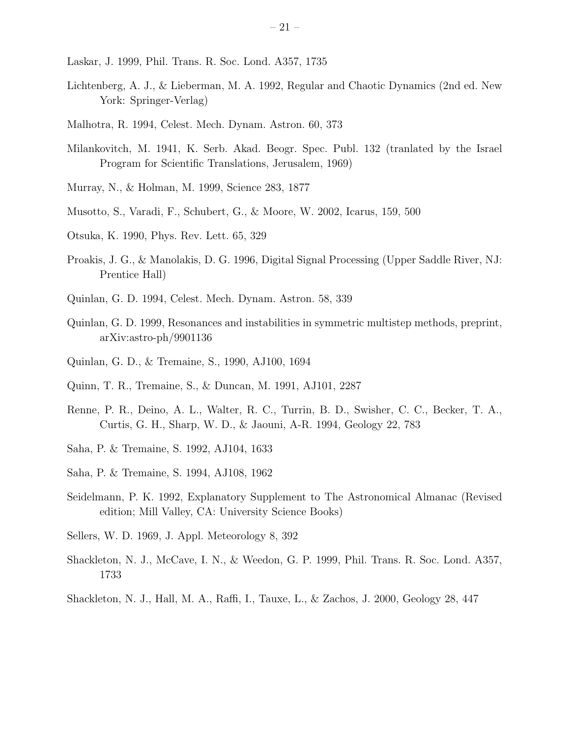- Laskar, J. 1999, Phil. Trans. R. Soc. Lond. A357, 1735
- Lichtenberg, A. J., & Lieberman, M. A. 1992, Regular and Chaotic Dynamics (2nd ed. New York: Springer-Verlag)
- Malhotra, R. 1994, Celest. Mech. Dynam. Astron. 60, 373
- Milankovitch, M. 1941, K. Serb. Akad. Beogr. Spec. Publ. 132 (tranlated by the Israel Program for Scientific Translations, Jerusalem, 1969)
- Murray, N., & Holman, M. 1999, Science 283, 1877
- Musotto, S., Varadi, F., Schubert, G., & Moore, W. 2002, Icarus, 159, 500
- Otsuka, K. 1990, Phys. Rev. Lett. 65, 329
- Proakis, J. G., & Manolakis, D. G. 1996, Digital Signal Processing (Upper Saddle River, NJ: Prentice Hall)
- Quinlan, G. D. 1994, Celest. Mech. Dynam. Astron. 58, 339
- Quinlan, G. D. 1999, Resonances and instabilities in symmetric multistep methods, preprint, arXiv:astro-ph/9901136
- Quinlan, G. D., & Tremaine, S., 1990, AJ100, 1694
- Quinn, T. R., Tremaine, S., & Duncan, M. 1991, AJ101, 2287
- Renne, P. R., Deino, A. L., Walter, R. C., Turrin, B. D., Swisher, C. C., Becker, T. A., Curtis, G. H., Sharp, W. D., & Jaouni, A-R. 1994, Geology 22, 783
- Saha, P. & Tremaine, S. 1992, AJ104, 1633
- Saha, P. & Tremaine, S. 1994, AJ108, 1962
- Seidelmann, P. K. 1992, Explanatory Supplement to The Astronomical Almanac (Revised edition; Mill Valley, CA: University Science Books)
- Sellers, W. D. 1969, J. Appl. Meteorology 8, 392
- Shackleton, N. J., McCave, I. N., & Weedon, G. P. 1999, Phil. Trans. R. Soc. Lond. A357, 1733
- Shackleton, N. J., Hall, M. A., Raffi, I., Tauxe, L., & Zachos, J. 2000, Geology 28, 447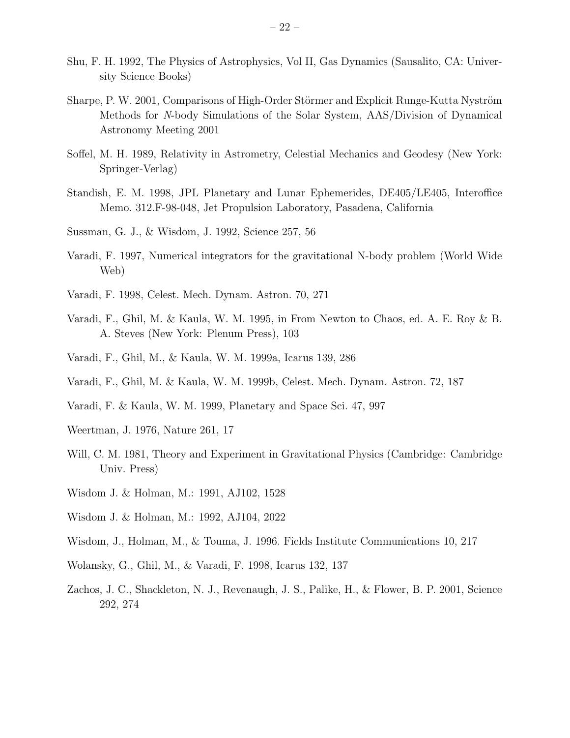- Shu, F. H. 1992, The Physics of Astrophysics, Vol II, Gas Dynamics (Sausalito, CA: University Science Books)
- Sharpe, P. W. 2001, Comparisons of High-Order Störmer and Explicit Runge-Kutta Nyström Methods for N-body Simulations of the Solar System, AAS/Division of Dynamical Astronomy Meeting 2001
- Soffel, M. H. 1989, Relativity in Astrometry, Celestial Mechanics and Geodesy (New York: Springer-Verlag)
- Standish, E. M. 1998, JPL Planetary and Lunar Ephemerides, DE405/LE405, Interoffice Memo. 312.F-98-048, Jet Propulsion Laboratory, Pasadena, California
- Sussman, G. J., & Wisdom, J. 1992, Science 257, 56
- Varadi, F. 1997, Numerical integrators for the gravitational N-body problem (World Wide Web)
- Varadi, F. 1998, Celest. Mech. Dynam. Astron. 70, 271
- Varadi, F., Ghil, M. & Kaula, W. M. 1995, in From Newton to Chaos, ed. A. E. Roy & B. A. Steves (New York: Plenum Press), 103
- Varadi, F., Ghil, M., & Kaula, W. M. 1999a, Icarus 139, 286
- Varadi, F., Ghil, M. & Kaula, W. M. 1999b, Celest. Mech. Dynam. Astron. 72, 187
- Varadi, F. & Kaula, W. M. 1999, Planetary and Space Sci. 47, 997
- Weertman, J. 1976, Nature 261, 17
- Will, C. M. 1981, Theory and Experiment in Gravitational Physics (Cambridge: Cambridge Univ. Press)
- Wisdom J. & Holman, M.: 1991, AJ102, 1528
- Wisdom J. & Holman, M.: 1992, AJ104, 2022
- Wisdom, J., Holman, M., & Touma, J. 1996. Fields Institute Communications 10, 217
- Wolansky, G., Ghil, M., & Varadi, F. 1998, Icarus 132, 137
- Zachos, J. C., Shackleton, N. J., Revenaugh, J. S., Palike, H., & Flower, B. P. 2001, Science 292, 274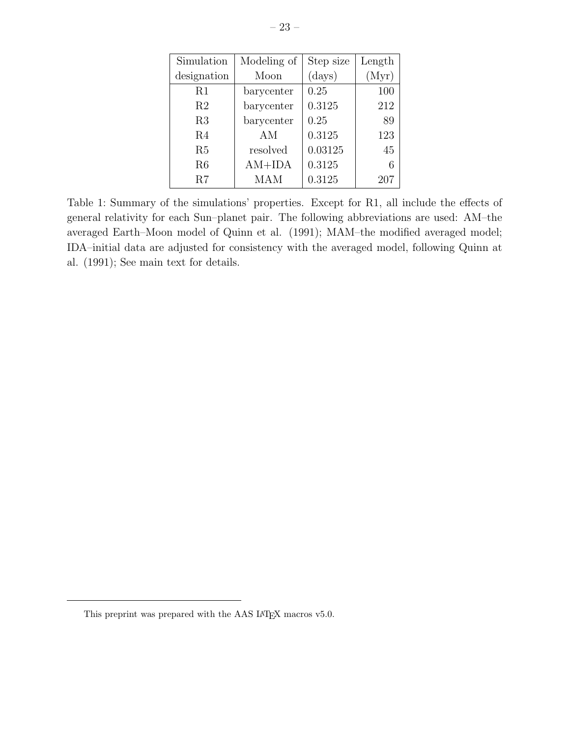| Simulation     | Modeling of | Step size | Length |
|----------------|-------------|-----------|--------|
| designation    | Moon        | (days)    | (Myr)  |
| R1             | barycenter  | 0.25      | 100    |
| R <sub>2</sub> | barycenter  | 0.3125    | 212    |
| R3             | barycenter  | 0.25      | 89     |
| R <sub>4</sub> | AM          | 0.3125    | 123    |
| R5             | resolved    | 0.03125   | 45     |
| R6             | $AM+IDA$    | 0.3125    | 6      |
| R7             | <b>MAM</b>  | 0.3125    | 207    |

Table 1: Summary of the simulations' properties. Except for R1, all include the effects of general relativity for each Sun–planet pair. The following abbreviations are used: AM–the averaged Earth–Moon model of Quinn et al. (1991); MAM–the modified averaged model; IDA–initial data are adjusted for consistency with the averaged model, following Quinn at al. (1991); See main text for details.

This preprint was prepared with the AAS IATEX macros v5.0.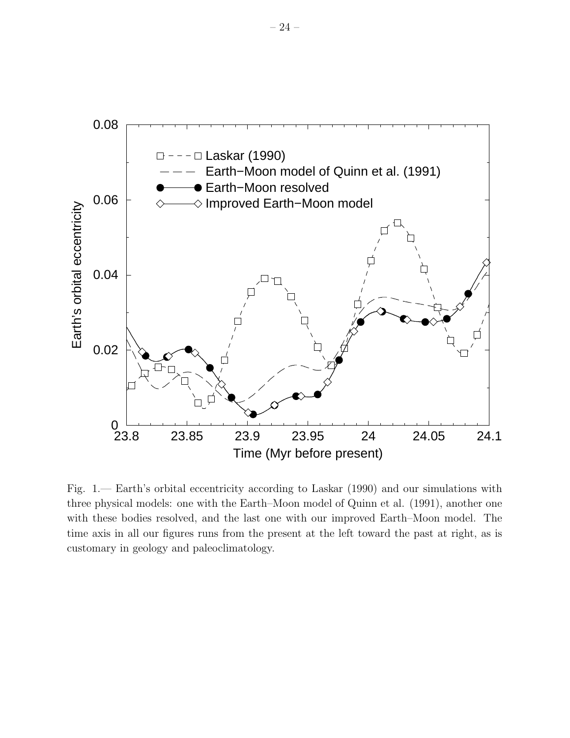

Fig. 1.— Earth's orbital eccentricity according to Laskar (1990) and our simulations with three physical models: one with the Earth–Moon model of Quinn et al. (1991), another one with these bodies resolved, and the last one with our improved Earth–Moon model. The time axis in all our figures runs from the present at the left toward the past at right, as is customary in geology and paleoclimatology.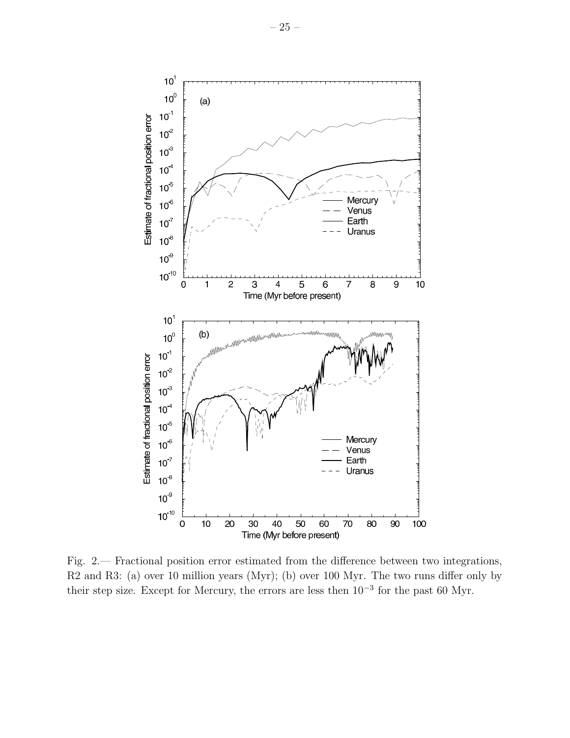

Fig. 2.— Fractional position error estimated from the difference between two integrations, R2 and R3: (a) over 10 million years (Myr); (b) over 100 Myr. The two runs differ only by their step size. Except for Mercury, the errors are less then  $10^{-3}$  for the past 60 Myr.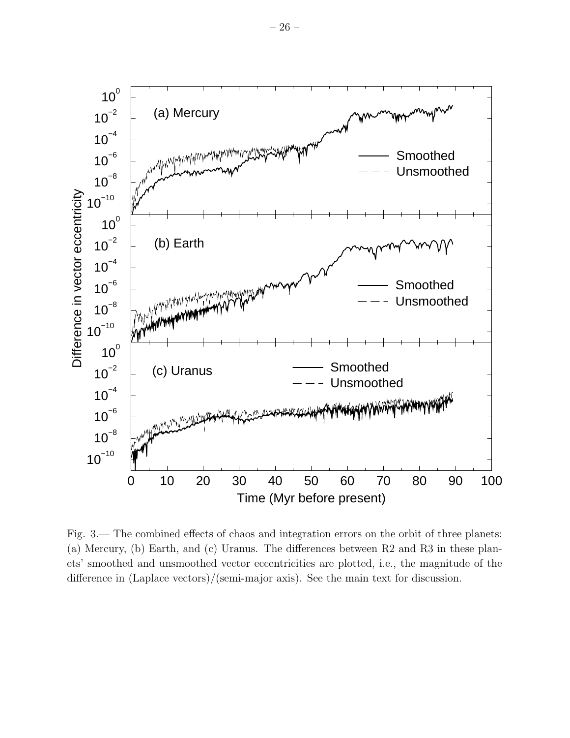

Fig. 3.— The combined effects of chaos and integration errors on the orbit of three planets: (a) Mercury, (b) Earth, and (c) Uranus. The differences between R2 and R3 in these planets' smoothed and unsmoothed vector eccentricities are plotted, i.e., the magnitude of the difference in (Laplace vectors)/(semi-major axis). See the main text for discussion.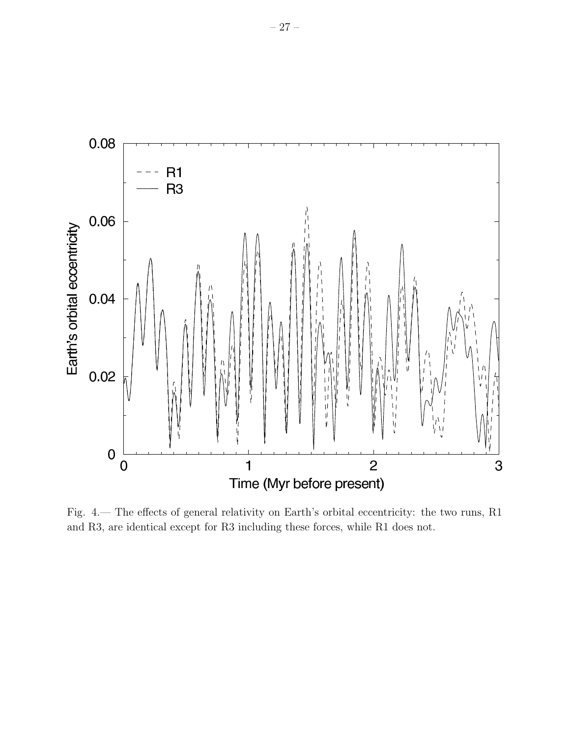

Fig. 4.— The effects of general relativity on Earth's orbital eccentricity: the two runs, R1 and R3, are identical except for R3 including these forces, while R1 does not.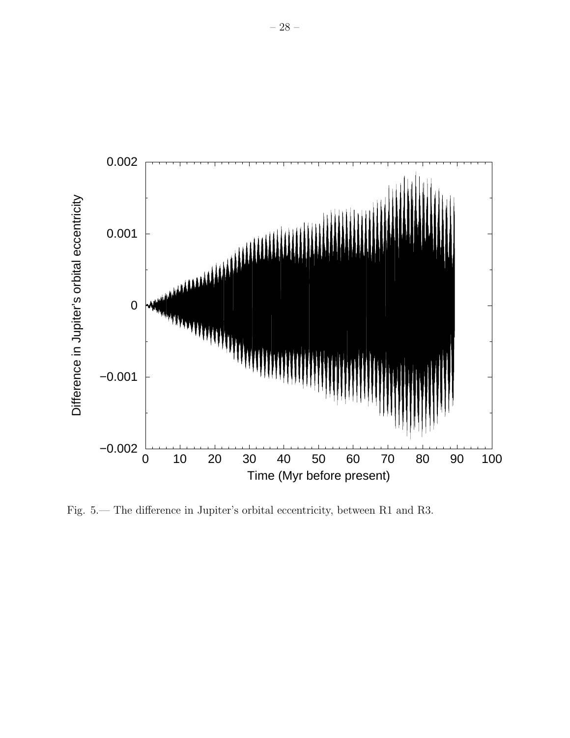

Fig. 5.— The difference in Jupiter's orbital eccentricity, between R1 and R3.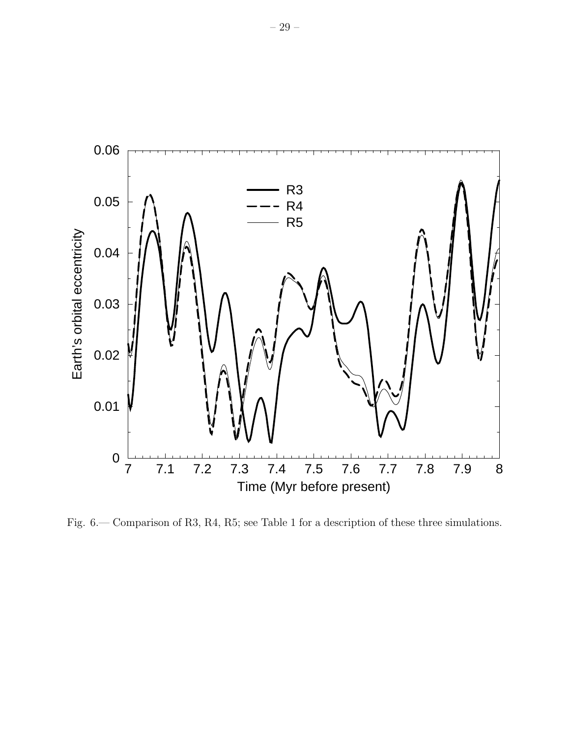

Fig. 6.— Comparison of R3, R4, R5; see Table 1 for a description of these three simulations.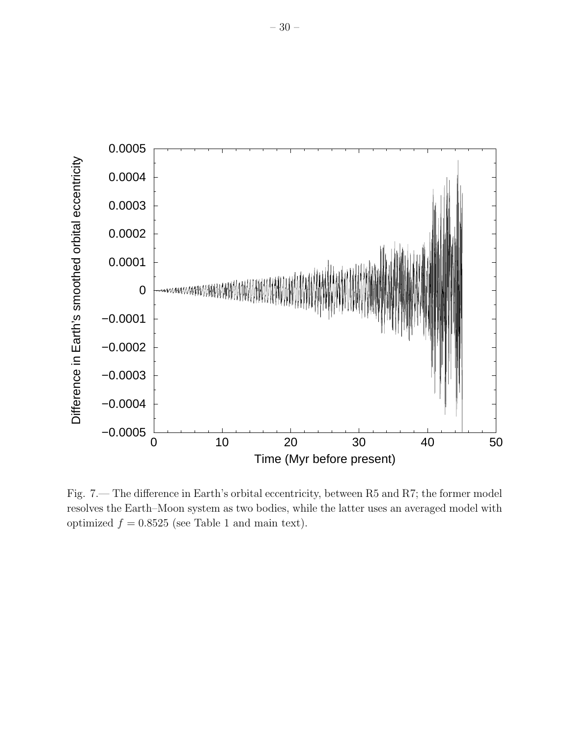

Fig. 7.— The difference in Earth's orbital eccentricity, between R5 and R7; the former model resolves the Earth–Moon system as two bodies, while the latter uses an averaged model with optimized  $f = 0.8525$  (see Table 1 and main text).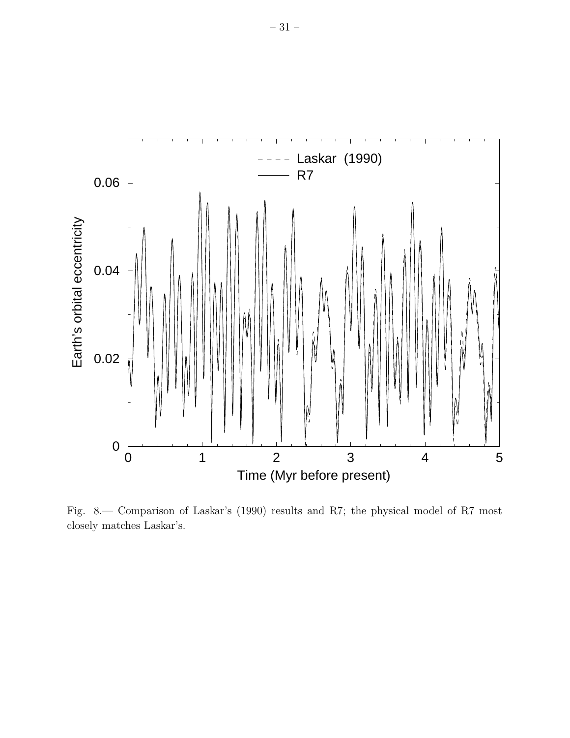

Fig. 8.— Comparison of Laskar's (1990) results and R7; the physical model of R7 most closely matches Laskar's.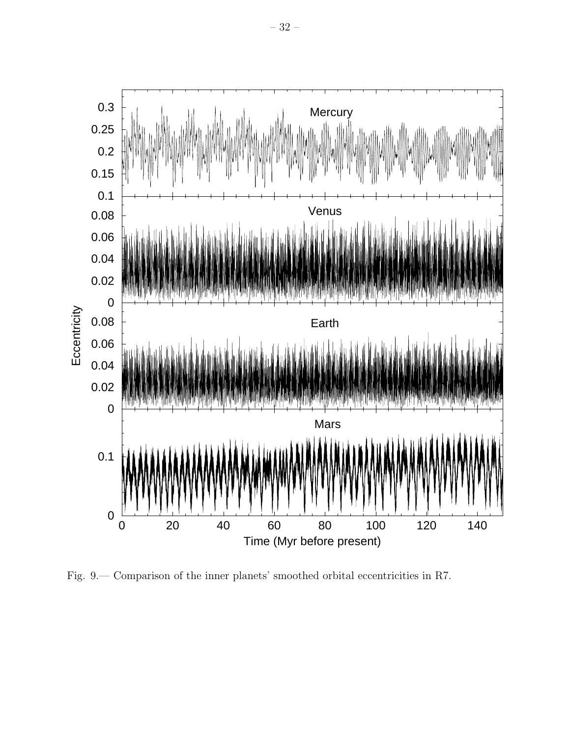

Fig. 9.— Comparison of the inner planets' smoothed orbital eccentricities in R7.